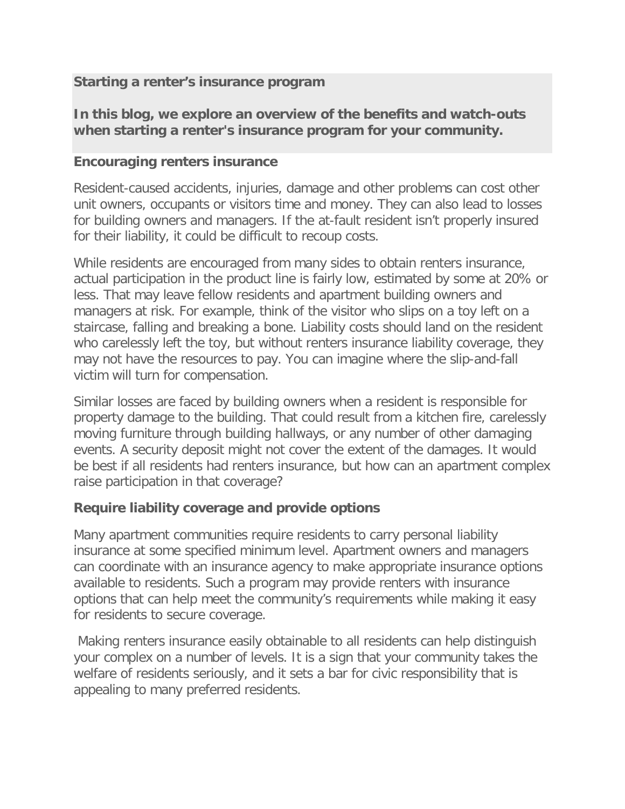## **Starting a renter's insurance program**

**In this blog, we explore an overview of the benefits and watch-outs when starting a renter's insurance program for your community.**

## **Encouraging renters insurance**

Resident-caused accidents, injuries, damage and other problems can cost other unit owners, occupants or visitors time and money. They can also lead to losses for building owners and managers. If the at-fault resident isn't properly insured for their liability, it could be difficult to recoup costs.

While residents are encouraged from many sides to obtain renters insurance, actual participation in the product line is fairly low, estimated by some at 20% or less. That may leave fellow residents and apartment building owners and managers at risk. For example, think of the visitor who slips on a toy left on a staircase, falling and breaking a bone. Liability costs should land on the resident who carelessly left the toy, but without renters insurance liability coverage, they may not have the resources to pay. You can imagine where the slip-and-fall victim will turn for compensation.

Similar losses are faced by building owners when a resident is responsible for property damage to the building. That could result from a kitchen fire, carelessly moving furniture through building hallways, or any number of other damaging events. A security deposit might not cover the extent of the damages. It would be best if all residents had renters insurance, but how can an apartment complex raise participation in that coverage?

## **Require liability coverage and provide options**

Many apartment communities require residents to carry personal liability insurance at some specified minimum level. Apartment owners and managers can coordinate with an insurance agency to make appropriate insurance options available to residents. Such a program may provide renters with insurance options that can help meet the community's requirements while making it easy for residents to secure coverage.

Making renters insurance easily obtainable to all residents can help distinguish your complex on a number of levels. It is a sign that your community takes the welfare of residents seriously, and it sets a bar for civic responsibility that is appealing to many preferred residents.